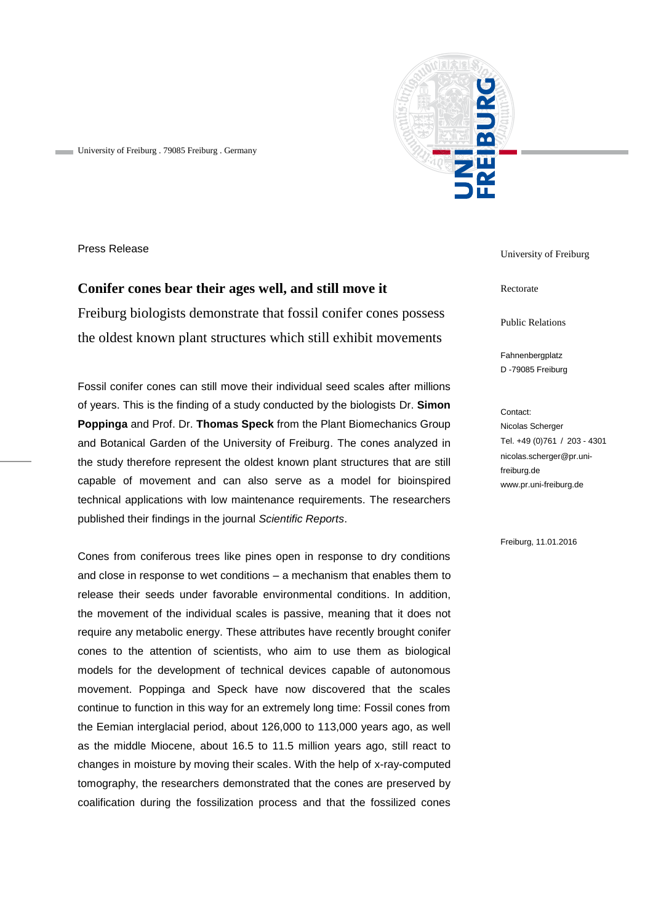

University of Freiburg . 79085 Freiburg . Germany

Press Release

## **Conifer cones bear their ages well, and still move it** Freiburg biologists demonstrate that fossil conifer cones possess the oldest known plant structures which still exhibit movements

Fossil conifer cones can still move their individual seed scales after millions of years. This is the finding of a study conducted by the biologists Dr. **Simon Poppinga** and Prof. Dr. **Thomas Speck** from the Plant Biomechanics Group and Botanical Garden of the University of Freiburg. The cones analyzed in the study therefore represent the oldest known plant structures that are still capable of movement and can also serve as a model for bioinspired technical applications with low maintenance requirements. The researchers published their findings in the journal *Scientific Reports*.

Cones from coniferous trees like pines open in response to dry conditions and close in response to wet conditions – a mechanism that enables them to release their seeds under favorable environmental conditions. In addition, the movement of the individual scales is passive, meaning that it does not require any metabolic energy. These attributes have recently brought conifer cones to the attention of scientists, who aim to use them as biological models for the development of technical devices capable of autonomous movement. Poppinga and Speck have now discovered that the scales continue to function in this way for an extremely long time: Fossil cones from the Eemian interglacial period, about 126,000 to 113,000 years ago, as well as the middle Miocene, about 16.5 to 11.5 million years ago, still react to changes in moisture by moving their scales. With the help of x-ray-computed tomography, the researchers demonstrated that the cones are preserved by coalification during the fossilization process and that the fossilized cones

University of Freiburg

Rectorate

Public Relations

Fahnenbergplatz D -79085 Freiburg

Contact: Nicolas Scherger Tel. +49 (0)761 / 203 - 4301 nicolas.scherger@pr.unifreiburg.de www.pr.uni-freiburg.de

Freiburg, 11.01.2016